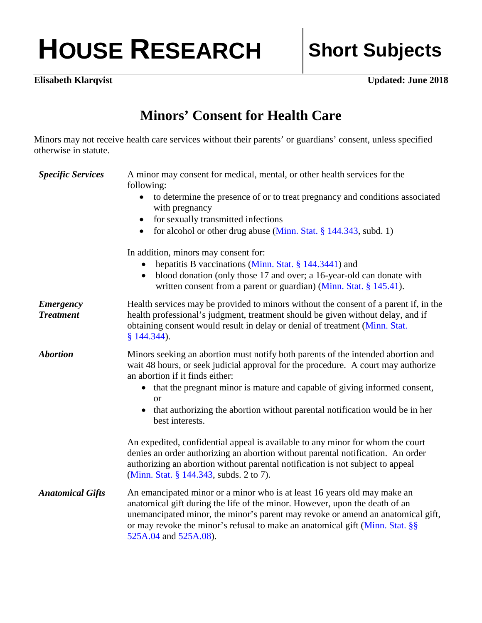## HOUSE RESEARCH Short Subjects

**Elisabeth Klarqvist Updated: June 2018** 

## **Minors' Consent for Health Care**

Minors may not receive health care services without their parents' or guardians' consent, unless specified otherwise in statute.

| <b>Specific Services</b>             | A minor may consent for medical, mental, or other health services for the<br>following:                                                                                                                                                                                                                                                             |
|--------------------------------------|-----------------------------------------------------------------------------------------------------------------------------------------------------------------------------------------------------------------------------------------------------------------------------------------------------------------------------------------------------|
|                                      | to determine the presence of or to treat pregnancy and conditions associated<br>with pregnancy                                                                                                                                                                                                                                                      |
|                                      | for sexually transmitted infections                                                                                                                                                                                                                                                                                                                 |
|                                      | for alcohol or other drug abuse (Minn. Stat. § 144.343, subd. 1)<br>$\bullet$                                                                                                                                                                                                                                                                       |
|                                      | In addition, minors may consent for:                                                                                                                                                                                                                                                                                                                |
|                                      | hepatitis B vaccinations (Minn. Stat. § 144.3441) and                                                                                                                                                                                                                                                                                               |
|                                      | blood donation (only those 17 and over; a 16-year-old can donate with<br>$\bullet$<br>written consent from a parent or guardian) (Minn. Stat. $\S$ 145.41).                                                                                                                                                                                         |
| <b>Emergency</b><br><b>Treatment</b> | Health services may be provided to minors without the consent of a parent if, in the<br>health professional's judgment, treatment should be given without delay, and if<br>obtaining consent would result in delay or denial of treatment (Minn. Stat.<br>$§ 144.344$ .                                                                             |
| <b>Abortion</b>                      | Minors seeking an abortion must notify both parents of the intended abortion and<br>wait 48 hours, or seek judicial approval for the procedure. A court may authorize<br>an abortion if it finds either:                                                                                                                                            |
|                                      | • that the pregnant minor is mature and capable of giving informed consent,                                                                                                                                                                                                                                                                         |
|                                      | <b>or</b><br>that authorizing the abortion without parental notification would be in her<br>best interests.                                                                                                                                                                                                                                         |
|                                      | An expedited, confidential appeal is available to any minor for whom the court<br>denies an order authorizing an abortion without parental notification. An order<br>authorizing an abortion without parental notification is not subject to appeal<br>(Minn. Stat. § 144.343, subds. 2 to 7).                                                      |
| <b>Anatomical Gifts</b>              | An emancipated minor or a minor who is at least 16 years old may make an<br>anatomical gift during the life of the minor. However, upon the death of an<br>unemancipated minor, the minor's parent may revoke or amend an anatomical gift,<br>or may revoke the minor's refusal to make an anatomical gift (Minn. Stat. §§<br>525A.04 and 525A.08). |